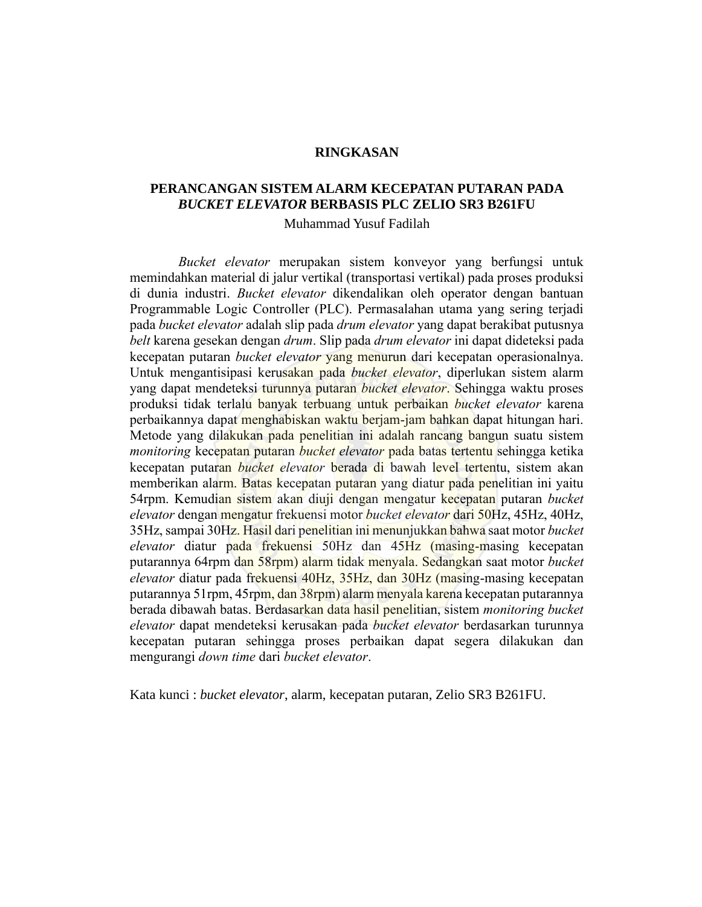## **RINGKASAN**

# **PERANCANGAN SISTEM ALARM KECEPATAN PUTARAN PADA**  *BUCKET ELEVATOR* **BERBASIS PLC ZELIO SR3 B261FU**

Muhammad Yusuf Fadilah

*Bucket elevator* merupakan sistem konveyor yang berfungsi untuk memindahkan material di jalur vertikal (transportasi vertikal) pada proses produksi di dunia industri. *Bucket elevator* dikendalikan oleh operator dengan bantuan Programmable Logic Controller (PLC). Permasalahan utama yang sering terjadi pada *bucket elevator* adalah slip pada *drum elevator* yang dapat berakibat putusnya *belt* karena gesekan dengan *drum*. Slip pada *drum elevator* ini dapat dideteksi pada kecepatan putaran *bucket elevator* yang menurun dari kecepatan operasionalnya. Untuk mengantisipasi kerusakan pada *bucket elevator*, diperlukan sistem alarm yang dapat mendeteksi turunnya putaran *bucket elevator*. Sehingga waktu proses produksi tidak terlalu banyak terbuang untuk perbaikan *bucket elevator* karena perbaikannya dapat menghabiskan waktu berjam-jam bahkan dapat hitungan hari. Metode yang dilakukan pada penelitian ini adalah rancang bangun suatu sistem *monitoring* kecepatan putaran *bucket elevator* pada batas tertentu sehingga ketika kecepatan putaran *bucket elevator* berada di bawah level tertentu, sistem akan memberikan alarm. Batas kecepatan putaran yang diatur pada penelitian ini yaitu 54rpm. Kemudian sistem akan diuji dengan mengatur kecepatan putaran *bucket elevator* dengan mengatur frekuensi motor *bucket elevator* dari 50Hz, 45Hz, 40Hz, 35Hz, sampai 30Hz. Hasil dari penelitian ini menunjukkan bahwa saat motor *bucket elevator* diatur pada frekuensi 50Hz dan 45Hz (masing-masing kecepatan putarannya 64rpm dan 58rpm) alarm tidak menyala. Sedangkan saat motor *bucket elevator* diatur pada frekuensi 40Hz, 35Hz, dan 30Hz (masing-masing kecepatan putarannya 51rpm, 45rpm, dan 38rpm) alarm menyala karena kecepatan putarannya berada dibawah batas. Berdasarkan data hasil penelitian, sistem *monitoring bucket elevator* dapat mendeteksi kerusakan pada *bucket elevator* berdasarkan turunnya kecepatan putaran sehingga proses perbaikan dapat segera dilakukan dan mengurangi *down time* dari *bucket elevator*.

Kata kunci : *bucket elevator*, alarm, kecepatan putaran, Zelio SR3 B261FU.